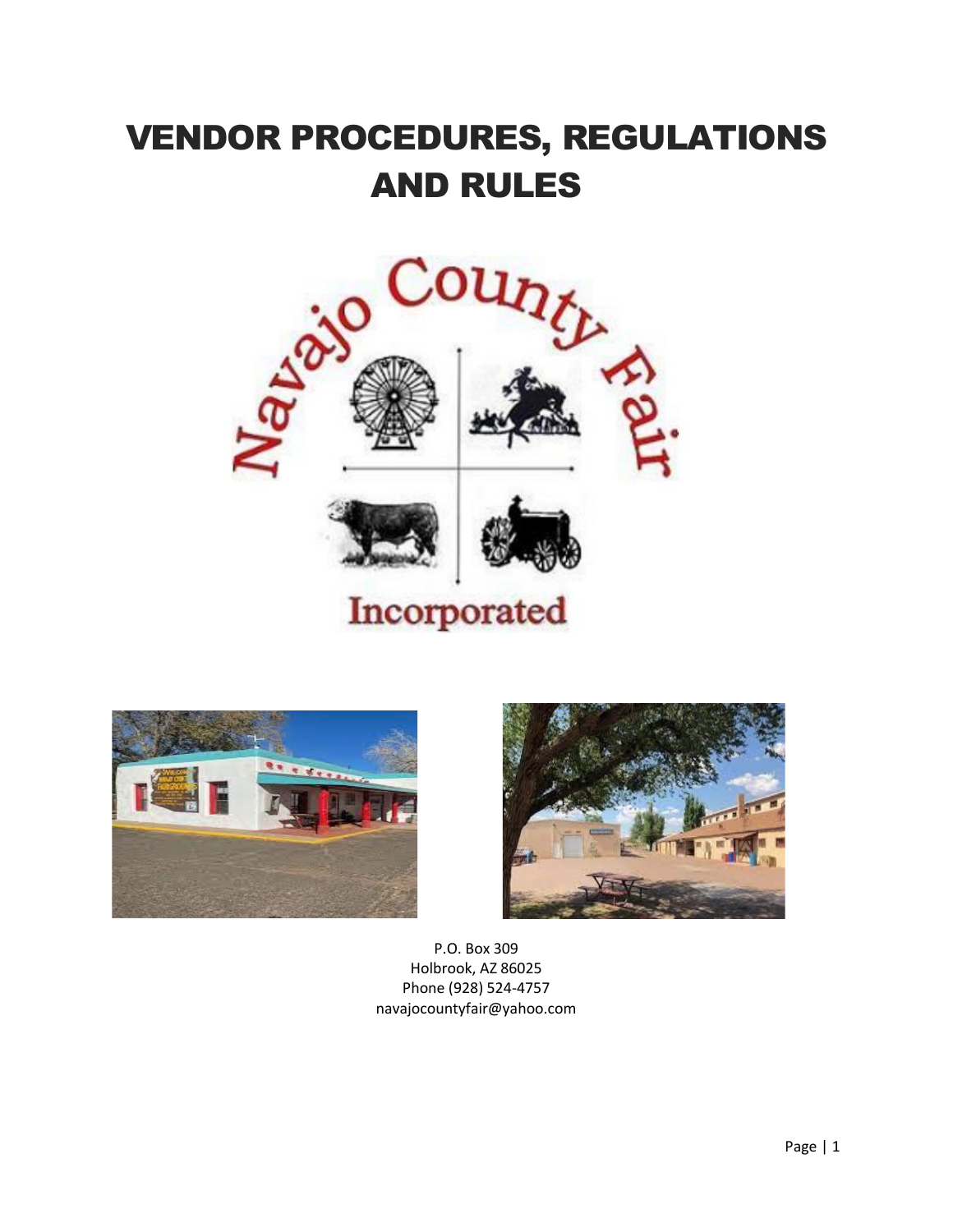# VENDOR PROCEDURES, REGULATIONS AND RULES







P.O. Box 309 Holbrook, AZ 86025 Phone (928) 524-4757 navajocountyfair@yahoo.com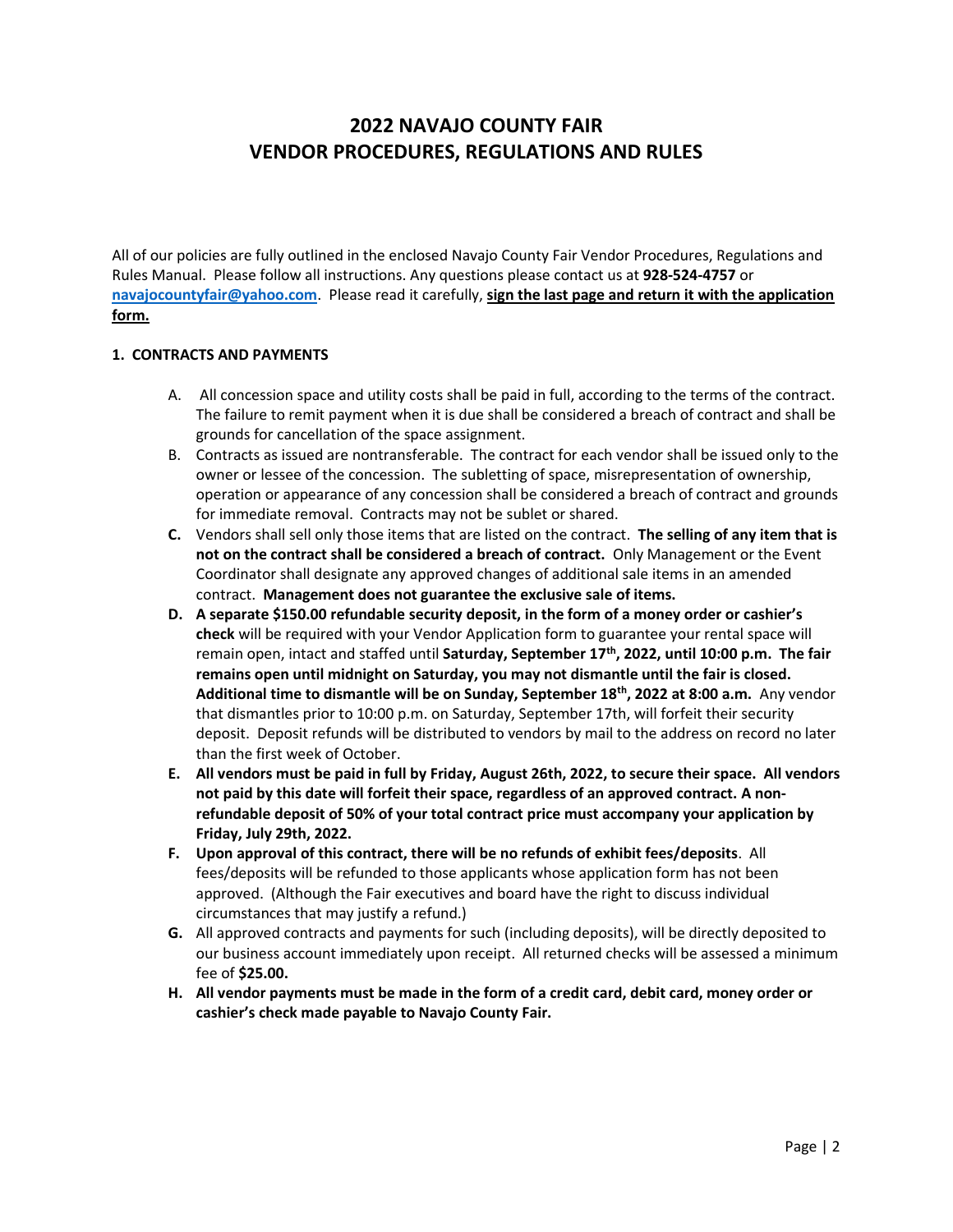# **2022 NAVAJO COUNTY FAIR VENDOR PROCEDURES, REGULATIONS AND RULES**

All of our policies are fully outlined in the enclosed Navajo County Fair Vendor Procedures, Regulations and Rules Manual. Please follow all instructions. Any questions please contact us at **928-524-4757** or **[navajocountyfair@yahoo.com](mailto:navajocountyfair@yahoo.com)**. Please read it carefully, **sign the last page and return it with the application form.** 

#### **1. CONTRACTS AND PAYMENTS**

- A. All concession space and utility costs shall be paid in full, according to the terms of the contract. The failure to remit payment when it is due shall be considered a breach of contract and shall be grounds for cancellation of the space assignment.
- B. Contracts as issued are nontransferable. The contract for each vendor shall be issued only to the owner or lessee of the concession. The subletting of space, misrepresentation of ownership, operation or appearance of any concession shall be considered a breach of contract and grounds for immediate removal. Contracts may not be sublet or shared.
- **C.** Vendors shall sell only those items that are listed on the contract. **The selling of any item that is not on the contract shall be considered a breach of contract.** Only Management or the Event Coordinator shall designate any approved changes of additional sale items in an amended contract. **Management does not guarantee the exclusive sale of items.**
- **D. A separate \$150.00 refundable security deposit, in the form of a money order or cashier's check** will be required with your Vendor Application form to guarantee your rental space will remain open, intact and staffed until **Saturday, September 17th, 2022, until 10:00 p.m. The fair remains open until midnight on Saturday, you may not dismantle until the fair is closed. Additional time to dismantle will be on Sunday, September 18th, 2022 at 8:00 a.m.** Any vendor that dismantles prior to 10:00 p.m. on Saturday, September 17th, will forfeit their security deposit. Deposit refunds will be distributed to vendors by mail to the address on record no later than the first week of October.
- **E. All vendors must be paid in full by Friday, August 26th, 2022, to secure their space. All vendors not paid by this date will forfeit their space, regardless of an approved contract. A nonrefundable deposit of 50% of your total contract price must accompany your application by Friday, July 29th, 2022.**
- **F. Upon approval of this contract, there will be no refunds of exhibit fees/deposits**. All fees/deposits will be refunded to those applicants whose application form has not been approved. (Although the Fair executives and board have the right to discuss individual circumstances that may justify a refund.)
- **G.** All approved contracts and payments for such (including deposits), will be directly deposited to our business account immediately upon receipt. All returned checks will be assessed a minimum fee of **\$25.00.**
- **H. All vendor payments must be made in the form of a credit card, debit card, money order or cashier's check made payable to Navajo County Fair.**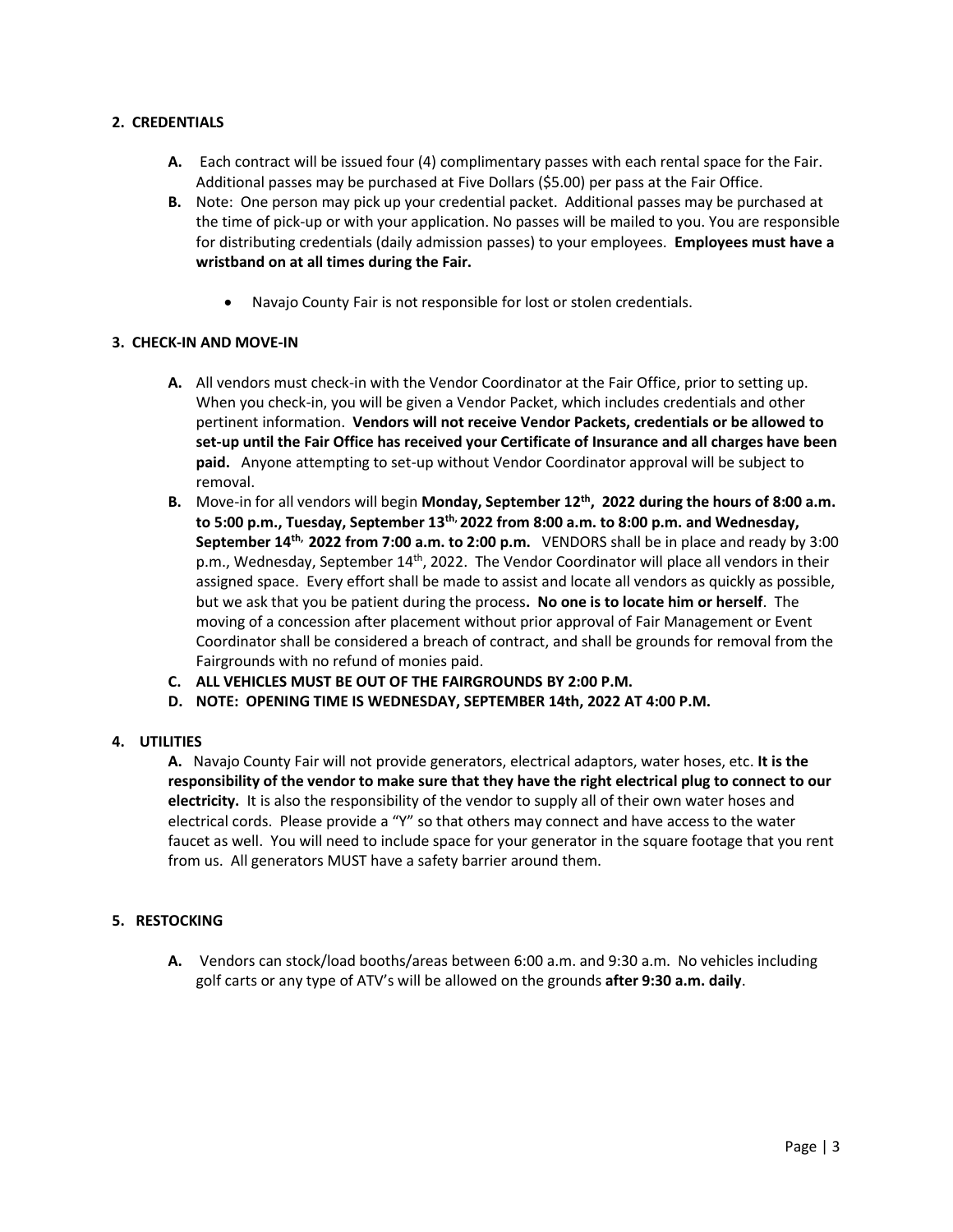### **2. CREDENTIALS**

- **A.** Each contract will be issued four (4) complimentary passes with each rental space for the Fair. Additional passes may be purchased at Five Dollars (\$5.00) per pass at the Fair Office.
- **B.** Note: One person may pick up your credential packet. Additional passes may be purchased at the time of pick-up or with your application. No passes will be mailed to you. You are responsible for distributing credentials (daily admission passes) to your employees. **Employees must have a wristband on at all times during the Fair.** 
	- Navajo County Fair is not responsible for lost or stolen credentials.

#### **3. CHECK-IN AND MOVE-IN**

- **A.** All vendors must check-in with the Vendor Coordinator at the Fair Office, prior to setting up. When you check-in, you will be given a Vendor Packet, which includes credentials and other pertinent information. **Vendors will not receive Vendor Packets, credentials or be allowed to set-up until the Fair Office has received your Certificate of Insurance and all charges have been paid.** Anyone attempting to set-up without Vendor Coordinator approval will be subject to removal.
- **B.** Move-in for all vendors will begin **Monday, September 12th , 2022 during the hours of 8:00 a.m. to 5:00 p.m., Tuesday, September 13 th, 2022 from 8:00 a.m. to 8:00 p.m. and Wednesday, September 14<sup>th,</sup> 2022 from 7:00 a.m. to 2:00 p.m.** VENDORS shall be in place and ready by 3:00 p.m., Wednesday, September 14<sup>th</sup>, 2022. The Vendor Coordinator will place all vendors in their assigned space. Every effort shall be made to assist and locate all vendors as quickly as possible, but we ask that you be patient during the process**. No one is to locate him or herself**. The moving of a concession after placement without prior approval of Fair Management or Event Coordinator shall be considered a breach of contract, and shall be grounds for removal from the Fairgrounds with no refund of monies paid.
- **C. ALL VEHICLES MUST BE OUT OF THE FAIRGROUNDS BY 2:00 P.M.**
- **D. NOTE: OPENING TIME IS WEDNESDAY, SEPTEMBER 14th, 2022 AT 4:00 P.M.**

## **4. UTILITIES**

**A.** Navajo County Fair will not provide generators, electrical adaptors, water hoses, etc. **It is the responsibility of the vendor to make sure that they have the right electrical plug to connect to our electricity.** It is also the responsibility of the vendor to supply all of their own water hoses and electrical cords. Please provide a "Y" so that others may connect and have access to the water faucet as well. You will need to include space for your generator in the square footage that you rent from us. All generators MUST have a safety barrier around them.

#### **5. RESTOCKING**

**A.** Vendors can stock/load booths/areas between 6:00 a.m. and 9:30 a.m. No vehicles including golf carts or any type of ATV's will be allowed on the grounds **after 9:30 a.m. daily**.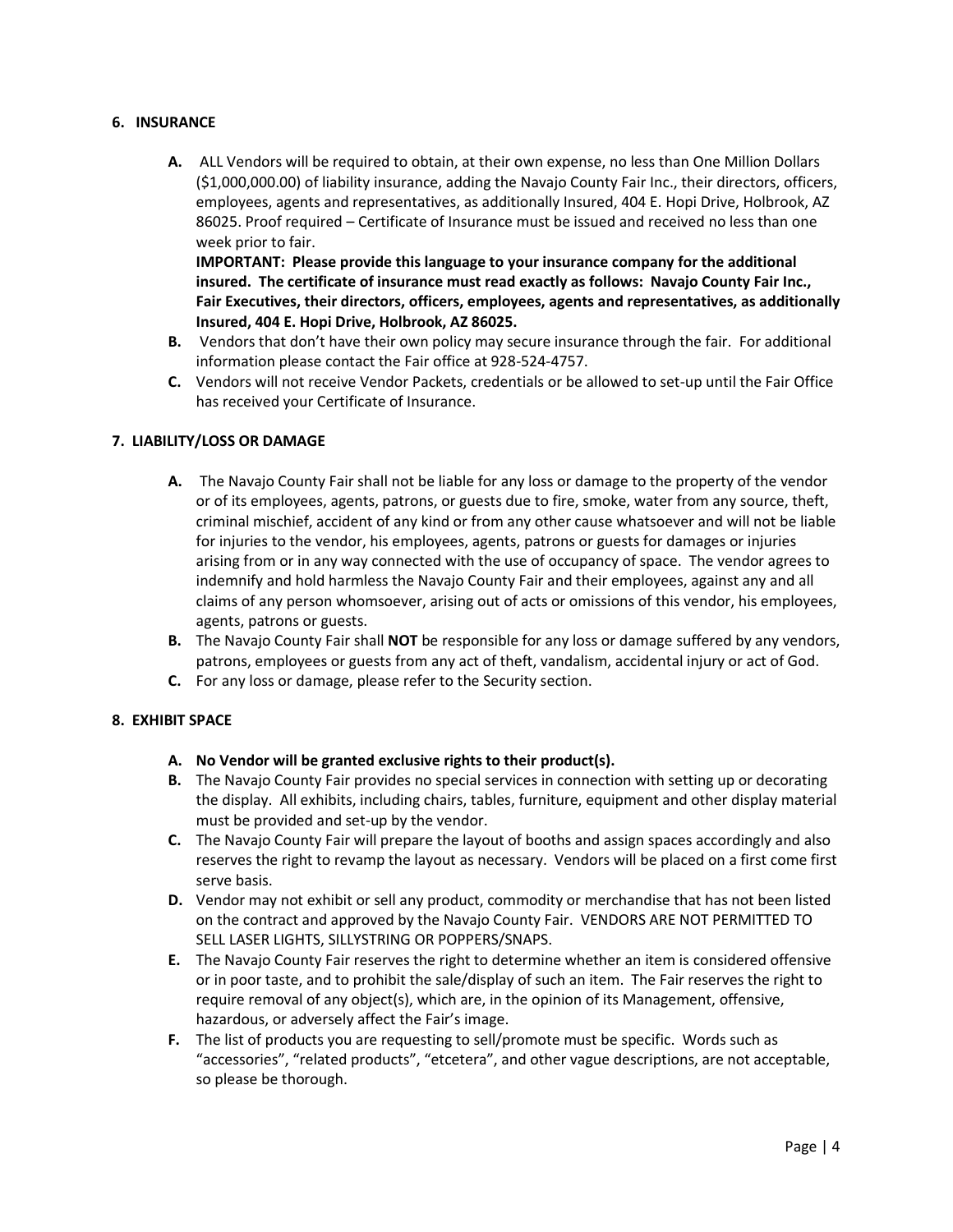#### **6. INSURANCE**

**A.** ALL Vendors will be required to obtain, at their own expense, no less than One Million Dollars (\$1,000,000.00) of liability insurance, adding the Navajo County Fair Inc., their directors, officers, employees, agents and representatives, as additionally Insured, 404 E. Hopi Drive, Holbrook, AZ 86025. Proof required – Certificate of Insurance must be issued and received no less than one week prior to fair.

**IMPORTANT: Please provide this language to your insurance company for the additional insured. The certificate of insurance must read exactly as follows: Navajo County Fair Inc., Fair Executives, their directors, officers, employees, agents and representatives, as additionally Insured, 404 E. Hopi Drive, Holbrook, AZ 86025.**

- **B.** Vendors that don't have their own policy may secure insurance through the fair. For additional information please contact the Fair office at 928-524-4757.
- **C.** Vendors will not receive Vendor Packets, credentials or be allowed to set-up until the Fair Office has received your Certificate of Insurance.

#### **7. LIABILITY/LOSS OR DAMAGE**

- **A.** The Navajo County Fair shall not be liable for any loss or damage to the property of the vendor or of its employees, agents, patrons, or guests due to fire, smoke, water from any source, theft, criminal mischief, accident of any kind or from any other cause whatsoever and will not be liable for injuries to the vendor, his employees, agents, patrons or guests for damages or injuries arising from or in any way connected with the use of occupancy of space. The vendor agrees to indemnify and hold harmless the Navajo County Fair and their employees, against any and all claims of any person whomsoever, arising out of acts or omissions of this vendor, his employees, agents, patrons or guests.
- **B.** The Navajo County Fair shall **NOT** be responsible for any loss or damage suffered by any vendors, patrons, employees or guests from any act of theft, vandalism, accidental injury or act of God.
- **C.** For any loss or damage, please refer to the Security section.

#### **8. EXHIBIT SPACE**

- **A. No Vendor will be granted exclusive rights to their product(s).**
- **B.** The Navajo County Fair provides no special services in connection with setting up or decorating the display. All exhibits, including chairs, tables, furniture, equipment and other display material must be provided and set-up by the vendor.
- **C.** The Navajo County Fair will prepare the layout of booths and assign spaces accordingly and also reserves the right to revamp the layout as necessary. Vendors will be placed on a first come first serve basis.
- **D.** Vendor may not exhibit or sell any product, commodity or merchandise that has not been listed on the contract and approved by the Navajo County Fair. VENDORS ARE NOT PERMITTED TO SELL LASER LIGHTS, SILLYSTRING OR POPPERS/SNAPS.
- **E.** The Navajo County Fair reserves the right to determine whether an item is considered offensive or in poor taste, and to prohibit the sale/display of such an item. The Fair reserves the right to require removal of any object(s), which are, in the opinion of its Management, offensive, hazardous, or adversely affect the Fair's image.
- **F.** The list of products you are requesting to sell/promote must be specific. Words such as "accessories", "related products", "etcetera", and other vague descriptions, are not acceptable, so please be thorough.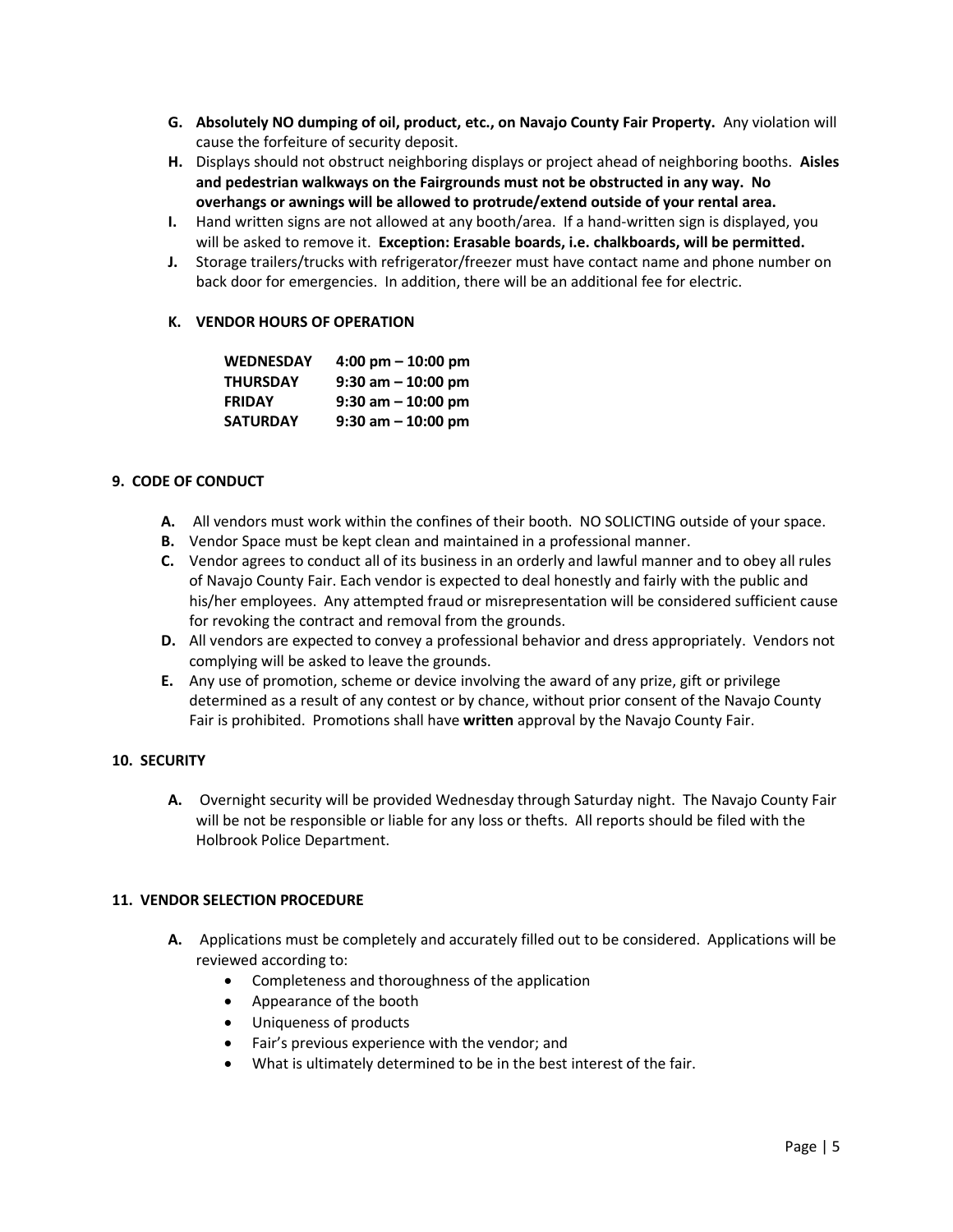- **G. Absolutely NO dumping of oil, product, etc., on Navajo County Fair Property.** Any violation will cause the forfeiture of security deposit.
- **H.** Displays should not obstruct neighboring displays or project ahead of neighboring booths. **Aisles and pedestrian walkways on the Fairgrounds must not be obstructed in any way. No overhangs or awnings will be allowed to protrude/extend outside of your rental area.**
- **I.** Hand written signs are not allowed at any booth/area. If a hand-written sign is displayed, you will be asked to remove it. **Exception: Erasable boards, i.e. chalkboards, will be permitted.**
- **J.** Storage trailers/trucks with refrigerator/freezer must have contact name and phone number on back door for emergencies. In addition, there will be an additional fee for electric.

#### **K. VENDOR HOURS OF OPERATION**

| <b>WEDNESDAY</b> | $4:00 \text{ pm} - 10:00 \text{ pm}$ |
|------------------|--------------------------------------|
| <b>THURSDAY</b>  | $9:30$ am $-10:00$ pm                |
| <b>FRIDAY</b>    | $9:30$ am $-10:00$ pm                |
| <b>SATURDAY</b>  | $9:30$ am $-10:00$ pm                |

#### **9. CODE OF CONDUCT**

- **A.** All vendors must work within the confines of their booth. NO SOLICTING outside of your space.
- **B.** Vendor Space must be kept clean and maintained in a professional manner.
- **C.** Vendor agrees to conduct all of its business in an orderly and lawful manner and to obey all rules of Navajo County Fair. Each vendor is expected to deal honestly and fairly with the public and his/her employees. Any attempted fraud or misrepresentation will be considered sufficient cause for revoking the contract and removal from the grounds.
- **D.** All vendors are expected to convey a professional behavior and dress appropriately. Vendors not complying will be asked to leave the grounds.
- **E.** Any use of promotion, scheme or device involving the award of any prize, gift or privilege determined as a result of any contest or by chance, without prior consent of the Navajo County Fair is prohibited. Promotions shall have **written** approval by the Navajo County Fair.

#### **10. SECURITY**

**A.** Overnight security will be provided Wednesday through Saturday night. The Navajo County Fair will be not be responsible or liable for any loss or thefts. All reports should be filed with the Holbrook Police Department.

#### **11. VENDOR SELECTION PROCEDURE**

- **A.** Applications must be completely and accurately filled out to be considered. Applications will be reviewed according to:
	- Completeness and thoroughness of the application
	- Appearance of the booth
	- Uniqueness of products
	- Fair's previous experience with the vendor; and
	- What is ultimately determined to be in the best interest of the fair.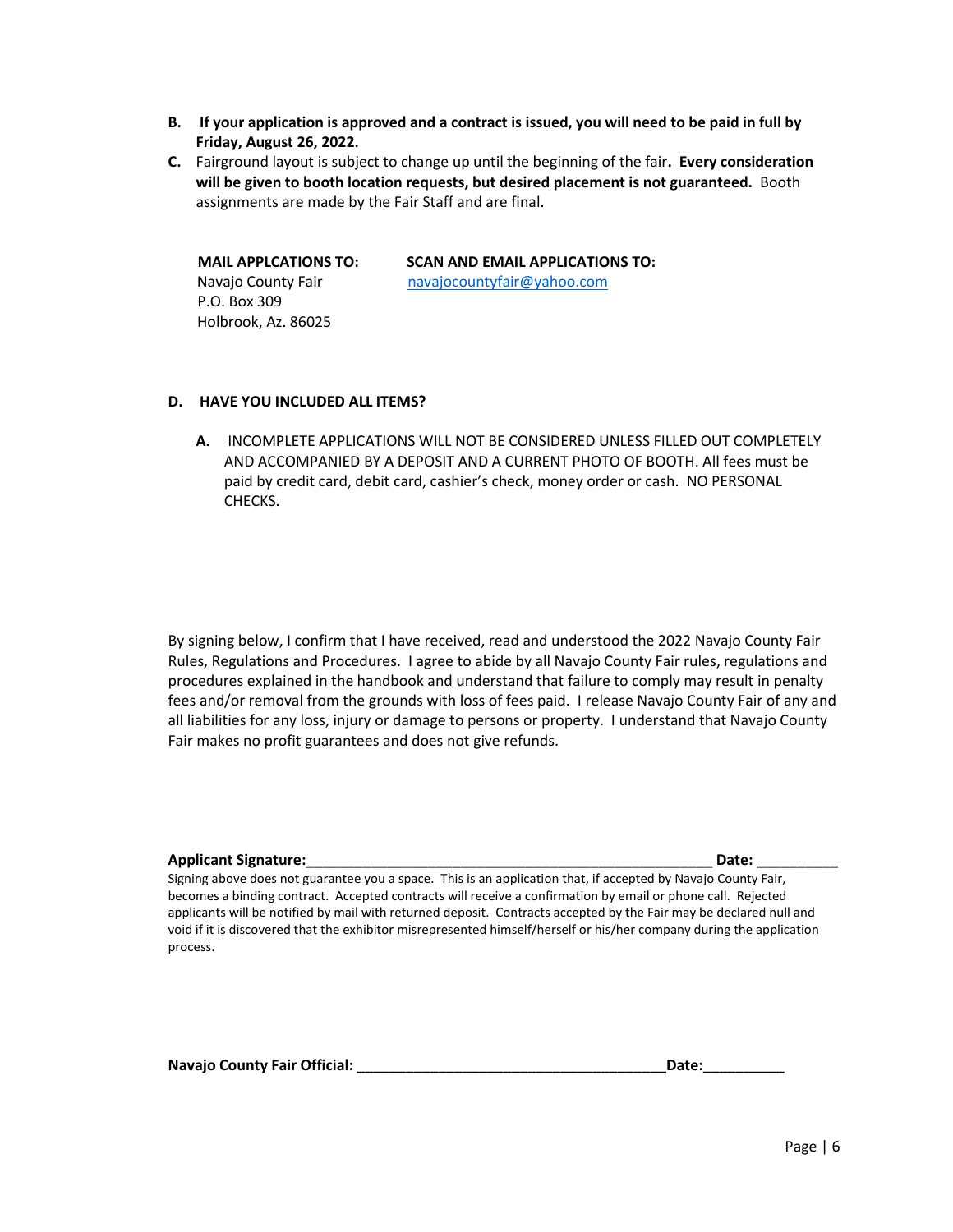- **B. If your application is approved and a contract is issued, you will need to be paid in full by Friday, August 26, 2022.**
- **C.** Fairground layout is subject to change up until the beginning of the fair**. Every consideration will be given to booth location requests, but desired placement is not guaranteed.** Booth assignments are made by the Fair Staff and are final.

 P.O. Box 309 Holbrook, Az. 86025

 **MAIL APPLCATIONS TO: SCAN AND EMAIL APPLICATIONS TO: Navajo County Fair** navajocountyfair@yahoo.com

## **D. HAVE YOU INCLUDED ALL ITEMS?**

**A.** INCOMPLETE APPLICATIONS WILL NOT BE CONSIDERED UNLESS FILLED OUT COMPLETELY AND ACCOMPANIED BY A DEPOSIT AND A CURRENT PHOTO OF BOOTH. All fees must be paid by credit card, debit card, cashier's check, money order or cash. NO PERSONAL CHECKS.

By signing below, I confirm that I have received, read and understood the 2022 Navajo County Fair Rules, Regulations and Procedures. I agree to abide by all Navajo County Fair rules, regulations and procedures explained in the handbook and understand that failure to comply may result in penalty fees and/or removal from the grounds with loss of fees paid. I release Navajo County Fair of any and all liabilities for any loss, injury or damage to persons or property. I understand that Navajo County Fair makes no profit guarantees and does not give refunds.

#### **Applicant Signature:\_\_\_\_\_\_\_\_\_\_\_\_\_\_\_\_\_\_\_\_\_\_\_\_\_\_\_\_\_\_\_\_\_\_\_\_\_\_\_\_\_\_\_\_\_\_\_\_\_\_ Date: \_\_\_\_\_\_\_\_\_\_**

Signing above does not guarantee you a space. This is an application that, if accepted by Navajo County Fair, becomes a binding contract. Accepted contracts will receive a confirmation by email or phone call. Rejected applicants will be notified by mail with returned deposit. Contracts accepted by the Fair may be declared null and void if it is discovered that the exhibitor misrepresented himself/herself or his/her company during the application process.

Navajo County Fair Official: \_\_\_\_\_\_\_\_\_\_\_\_\_\_

| . .<br>г<br>. . |  |
|-----------------|--|
|                 |  |
|                 |  |
|                 |  |
|                 |  |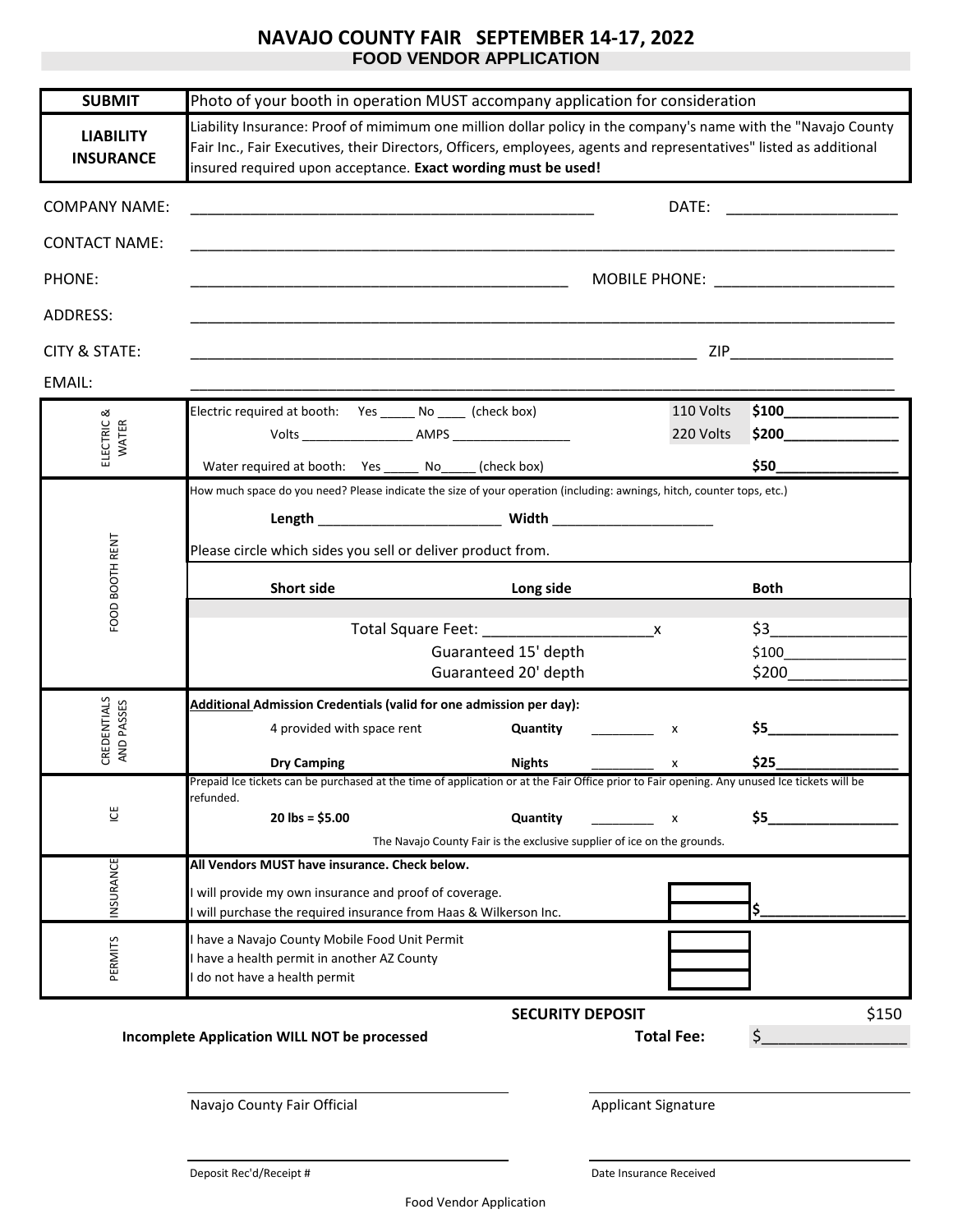# **NAVAJO COUNTY FAIR SEPTEMBER 14-17, 2022 FOOD VENDOR APPLICATION**

| <b>SUBMIT</b>                        | Photo of your booth in operation MUST accompany application for consideration                                                                                                                                                                                                                        |                                                                                     |                   |                                         |
|--------------------------------------|------------------------------------------------------------------------------------------------------------------------------------------------------------------------------------------------------------------------------------------------------------------------------------------------------|-------------------------------------------------------------------------------------|-------------------|-----------------------------------------|
| <b>LIABILITY</b><br><b>INSURANCE</b> | Liability Insurance: Proof of mimimum one million dollar policy in the company's name with the "Navajo County<br>Fair Inc., Fair Executives, their Directors, Officers, employees, agents and representatives" listed as additional<br>insured required upon acceptance. Exact wording must be used! |                                                                                     |                   |                                         |
| <b>COMPANY NAME:</b>                 | <u> 1989 - Johann Stoff, deutscher Stoff, der Stoff, der Stoff, der Stoff, der Stoff, der Stoff, der Stoff, der S</u>                                                                                                                                                                                |                                                                                     |                   |                                         |
| <b>CONTACT NAME:</b>                 | <u> 1989 - Johann John Stoff, deutscher Stoffen und der Stoffen und der Stoffen und der Stoffen und der Stoffen u</u>                                                                                                                                                                                |                                                                                     |                   |                                         |
| PHONE:                               |                                                                                                                                                                                                                                                                                                      |                                                                                     |                   | MOBILE PHONE: _________________________ |
| ADDRESS:                             |                                                                                                                                                                                                                                                                                                      |                                                                                     |                   |                                         |
| CITY & STATE:                        |                                                                                                                                                                                                                                                                                                      |                                                                                     |                   |                                         |
| EMAIL:                               |                                                                                                                                                                                                                                                                                                      |                                                                                     |                   |                                         |
| ಹ                                    | Electric required at booth: Yes ______ No _____ (check box)                                                                                                                                                                                                                                          |                                                                                     | 110 Volts         | \$100                                   |
| ELECTRIC<br>WATER                    |                                                                                                                                                                                                                                                                                                      |                                                                                     | 220 Volts         | \$200                                   |
|                                      | Water required at booth: Yes ______ No_____ (check box)                                                                                                                                                                                                                                              |                                                                                     |                   |                                         |
|                                      | How much space do you need? Please indicate the size of your operation (including: awnings, hitch, counter tops, etc.)                                                                                                                                                                               |                                                                                     |                   |                                         |
|                                      |                                                                                                                                                                                                                                                                                                      |                                                                                     |                   |                                         |
| FOOD BOOTH RENT                      | Please circle which sides you sell or deliver product from.                                                                                                                                                                                                                                          |                                                                                     |                   |                                         |
|                                      | <b>Short side</b>                                                                                                                                                                                                                                                                                    | Long side                                                                           |                   | Both                                    |
|                                      |                                                                                                                                                                                                                                                                                                      |                                                                                     | X                 | $\sharp$ 3                              |
|                                      |                                                                                                                                                                                                                                                                                                      | Guaranteed 15' depth                                                                |                   | \$100                                   |
|                                      |                                                                                                                                                                                                                                                                                                      | Guaranteed 20' depth                                                                |                   | \$200                                   |
| CREDENTIALS                          | Additional Admission Credentials (valid for one admission per day):                                                                                                                                                                                                                                  |                                                                                     |                   |                                         |
| AND PASSES                           | 4 provided with space rent                                                                                                                                                                                                                                                                           | Quantity                                                                            | x                 | $$5$ $\qquad$                           |
|                                      | <b>Dry Camping</b><br>Prepaid Ice tickets can be purchased at the time of application or at the Fair Office prior to Fair opening. Any unused Ice tickets will be                                                                                                                                    | <b>Nights</b>                                                                       | x                 | \$25                                    |
|                                      | refunded.                                                                                                                                                                                                                                                                                            |                                                                                     |                   |                                         |
| $\underline{\uplus}$                 | $20$ lbs = \$5.00                                                                                                                                                                                                                                                                                    | Quantity<br>The Navajo County Fair is the exclusive supplier of ice on the grounds. | X                 | \$5                                     |
|                                      | All Vendors MUST have insurance. Check below.                                                                                                                                                                                                                                                        |                                                                                     |                   |                                         |
| INSURANCE                            | I will provide my own insurance and proof of coverage.                                                                                                                                                                                                                                               |                                                                                     |                   |                                         |
|                                      | I will purchase the required insurance from Haas & Wilkerson Inc.                                                                                                                                                                                                                                    |                                                                                     |                   |                                         |
|                                      | I have a Navajo County Mobile Food Unit Permit                                                                                                                                                                                                                                                       |                                                                                     |                   |                                         |
| PERMITS                              | I have a health permit in another AZ County<br>I do not have a health permit                                                                                                                                                                                                                         |                                                                                     |                   |                                         |
|                                      |                                                                                                                                                                                                                                                                                                      | <b>SECURITY DEPOSIT</b>                                                             |                   | \$150                                   |
|                                      | Incomplete Application WILL NOT be processed                                                                                                                                                                                                                                                         |                                                                                     | <b>Total Fee:</b> | \$                                      |
|                                      |                                                                                                                                                                                                                                                                                                      |                                                                                     |                   |                                         |
|                                      |                                                                                                                                                                                                                                                                                                      |                                                                                     |                   |                                         |

Navajo County Fair Official Applicant Signature

Deposit Rec'd/Receipt # Date Insurance Received

Food Vendor Application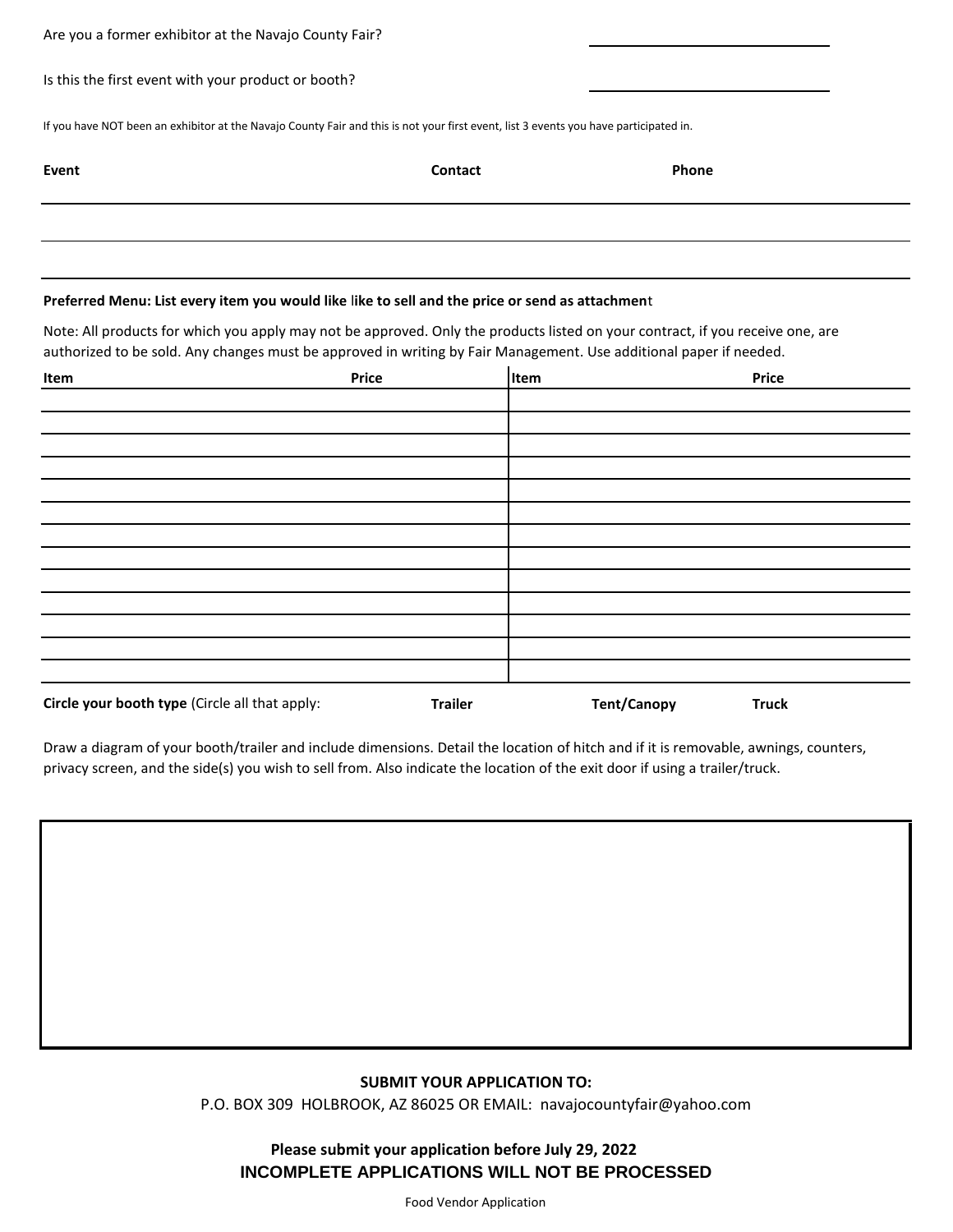| Are you a former exhibitor at the Navajo County Fair? |                                                                                                                                                                                                                                                      |             |       |              |
|-------------------------------------------------------|------------------------------------------------------------------------------------------------------------------------------------------------------------------------------------------------------------------------------------------------------|-------------|-------|--------------|
| Is this the first event with your product or booth?   |                                                                                                                                                                                                                                                      |             |       |              |
|                                                       | If you have NOT been an exhibitor at the Navajo County Fair and this is not your first event, list 3 events you have participated in.                                                                                                                |             |       |              |
| Event                                                 | Contact                                                                                                                                                                                                                                              |             | Phone |              |
|                                                       |                                                                                                                                                                                                                                                      |             |       |              |
|                                                       |                                                                                                                                                                                                                                                      |             |       |              |
|                                                       |                                                                                                                                                                                                                                                      |             |       |              |
|                                                       | Preferred Menu: List every item you would like like to sell and the price or send as attachment                                                                                                                                                      |             |       |              |
|                                                       | Note: All products for which you apply may not be approved. Only the products listed on your contract, if you receive one, are<br>authorized to be sold. Any changes must be approved in writing by Fair Management. Use additional paper if needed. |             |       |              |
| Item                                                  | <b>Price</b>                                                                                                                                                                                                                                         | <b>Item</b> |       | <b>Price</b> |
|                                                       |                                                                                                                                                                                                                                                      |             |       |              |
|                                                       |                                                                                                                                                                                                                                                      |             |       |              |
|                                                       |                                                                                                                                                                                                                                                      |             |       |              |

Draw a diagram of your booth/trailer and include dimensions. Detail the location of hitch and if it is removable, awnings, counters, privacy screen, and the side(s) you wish to sell from. Also indicate the location of the exit door if using a trailer/truck.

**Circle your booth type** (Circle all that apply: **Trailer Trailer Tent/Canopy Truck** 

#### **SUBMIT YOUR APPLICATION TO:**

P.O. BOX 309 HOLBROOK, AZ 86025 OR EMAIL: navajocountyfair@yahoo.com

**Please submit your application before July 29, 2022 INCOMPLETE APPLICATIONS WILL NOT BE PROCESSED**

Food Vendor Application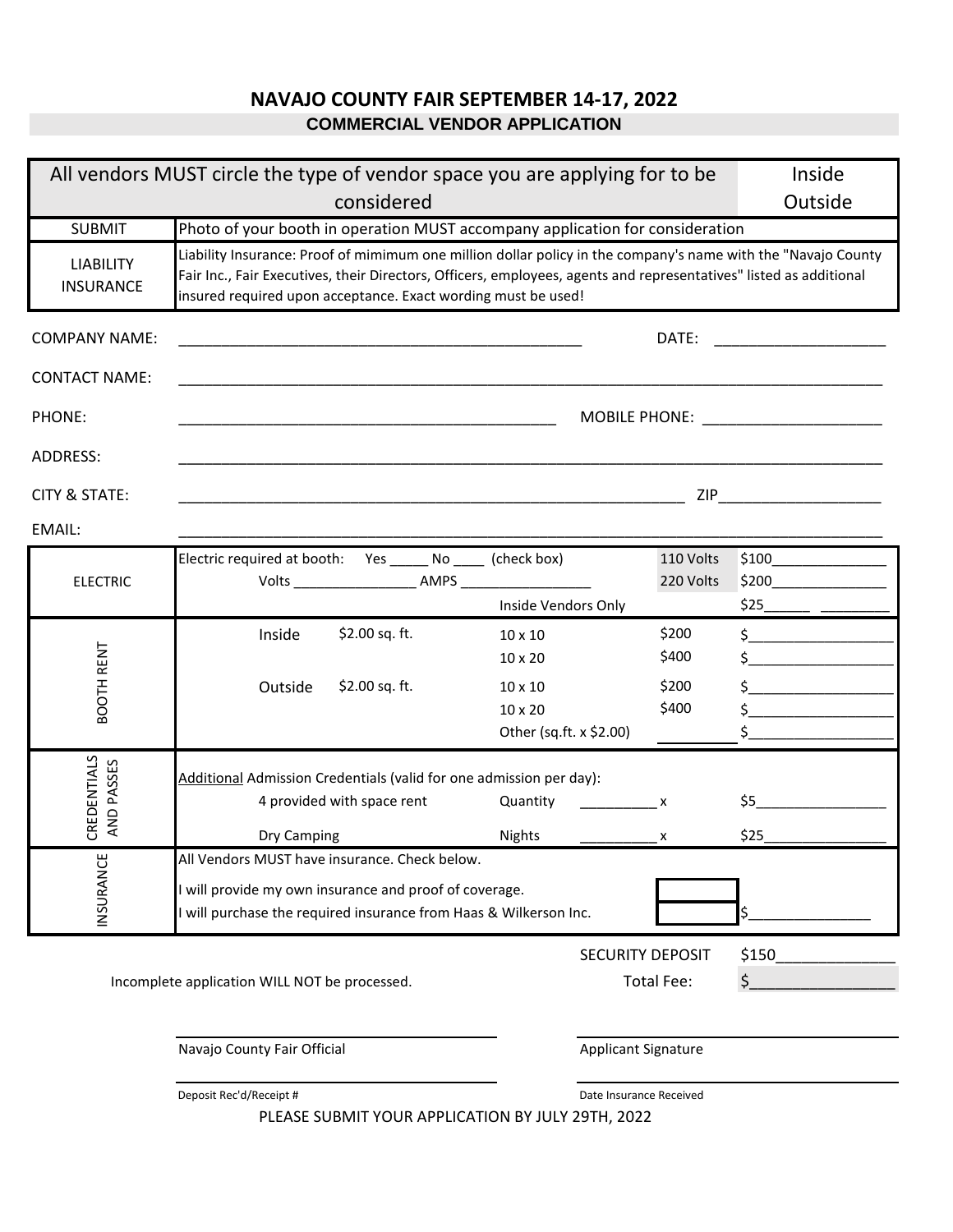# **NAVAJO COUNTY FAIR SEPTEMBER 14-17, 2022 COMMERCIAL VENDOR APPLICATION**

|                                      | All vendors MUST circle the type of vendor space you are applying for to be                                                                                                                                                                                                                          |                                     |                         | Inside                               |
|--------------------------------------|------------------------------------------------------------------------------------------------------------------------------------------------------------------------------------------------------------------------------------------------------------------------------------------------------|-------------------------------------|-------------------------|--------------------------------------|
|                                      | considered                                                                                                                                                                                                                                                                                           |                                     |                         | Outside                              |
| <b>SUBMIT</b>                        | Photo of your booth in operation MUST accompany application for consideration                                                                                                                                                                                                                        |                                     |                         |                                      |
| <b>LIABILITY</b><br><b>INSURANCE</b> | Liability Insurance: Proof of mimimum one million dollar policy in the company's name with the "Navajo County<br>Fair Inc., Fair Executives, their Directors, Officers, employees, agents and representatives" listed as additional<br>insured required upon acceptance. Exact wording must be used! |                                     |                         |                                      |
| <b>COMPANY NAME:</b>                 |                                                                                                                                                                                                                                                                                                      |                                     | DATE:                   |                                      |
| <b>CONTACT NAME:</b>                 | <u> 1989 - Johann Stoff, amerikansk politiker (d. 1989)</u>                                                                                                                                                                                                                                          |                                     |                         |                                      |
| PHONE:                               |                                                                                                                                                                                                                                                                                                      |                                     |                         | MOBILE PHONE: ______________________ |
| <b>ADDRESS:</b>                      |                                                                                                                                                                                                                                                                                                      |                                     |                         |                                      |
| <b>CITY &amp; STATE:</b>             |                                                                                                                                                                                                                                                                                                      |                                     |                         | <b>ZIP Example 2018</b>              |
| EMAIL:                               |                                                                                                                                                                                                                                                                                                      |                                     |                         |                                      |
|                                      | Electric required at booth: Yes ______ No _____ (check box)                                                                                                                                                                                                                                          |                                     | 110 Volts               |                                      |
| <b>ELECTRIC</b>                      |                                                                                                                                                                                                                                                                                                      |                                     | 220 Volts               | $$200$ $\overline{\phantom{211111}}$ |
|                                      |                                                                                                                                                                                                                                                                                                      | Inside Vendors Only                 |                         |                                      |
|                                      | \$2.00 sq. ft.<br>Inside                                                                                                                                                                                                                                                                             | 10 x 10                             | \$200                   | $\frac{1}{5}$                        |
| BOOTH RENT                           |                                                                                                                                                                                                                                                                                                      | $10 \times 20$                      | \$400                   |                                      |
|                                      | \$2.00 sq. ft.<br>Outside                                                                                                                                                                                                                                                                            | $10 \times 10$                      | \$200                   | $\frac{1}{2}$                        |
|                                      |                                                                                                                                                                                                                                                                                                      | $10 \times 20$                      | \$400                   | $\zeta$                              |
|                                      |                                                                                                                                                                                                                                                                                                      | Other (sq.ft. x \$2.00)             |                         | $\frac{1}{2}$                        |
|                                      | Additional Admission Credentials (valid for one admission per day):                                                                                                                                                                                                                                  |                                     |                         |                                      |
| AND PASSES                           | 4 provided with space rent                                                                                                                                                                                                                                                                           | Quantity<br>$\overline{\mathbf{x}}$ |                         | \$5                                  |
| CREDENTIALS                          | Dry Camping                                                                                                                                                                                                                                                                                          | Nights                              | X                       | \$25                                 |
|                                      | All Vendors MUST have insurance. Check below.                                                                                                                                                                                                                                                        |                                     |                         |                                      |
|                                      | will provide my own insurance and proof of coverage.                                                                                                                                                                                                                                                 |                                     |                         |                                      |
| INSURANCE                            | will purchase the required insurance from Haas & Wilkerson Inc.                                                                                                                                                                                                                                      |                                     |                         |                                      |
|                                      |                                                                                                                                                                                                                                                                                                      |                                     |                         |                                      |
|                                      |                                                                                                                                                                                                                                                                                                      |                                     | <b>SECURITY DEPOSIT</b> | \$150                                |
|                                      | Incomplete application WILL NOT be processed.                                                                                                                                                                                                                                                        |                                     | <b>Total Fee:</b>       | \$                                   |
|                                      |                                                                                                                                                                                                                                                                                                      |                                     |                         |                                      |
|                                      | Navajo County Fair Official                                                                                                                                                                                                                                                                          | <b>Applicant Signature</b>          |                         |                                      |
|                                      | Deposit Rec'd/Receipt #<br>DI FACE CURAIT VOLID ARRICATION BY HILV 20TH 2022                                                                                                                                                                                                                         |                                     | Date Insurance Received |                                      |

PLEASE SUBMIT YOUR APPLICATION BY JULY 29TH, 2022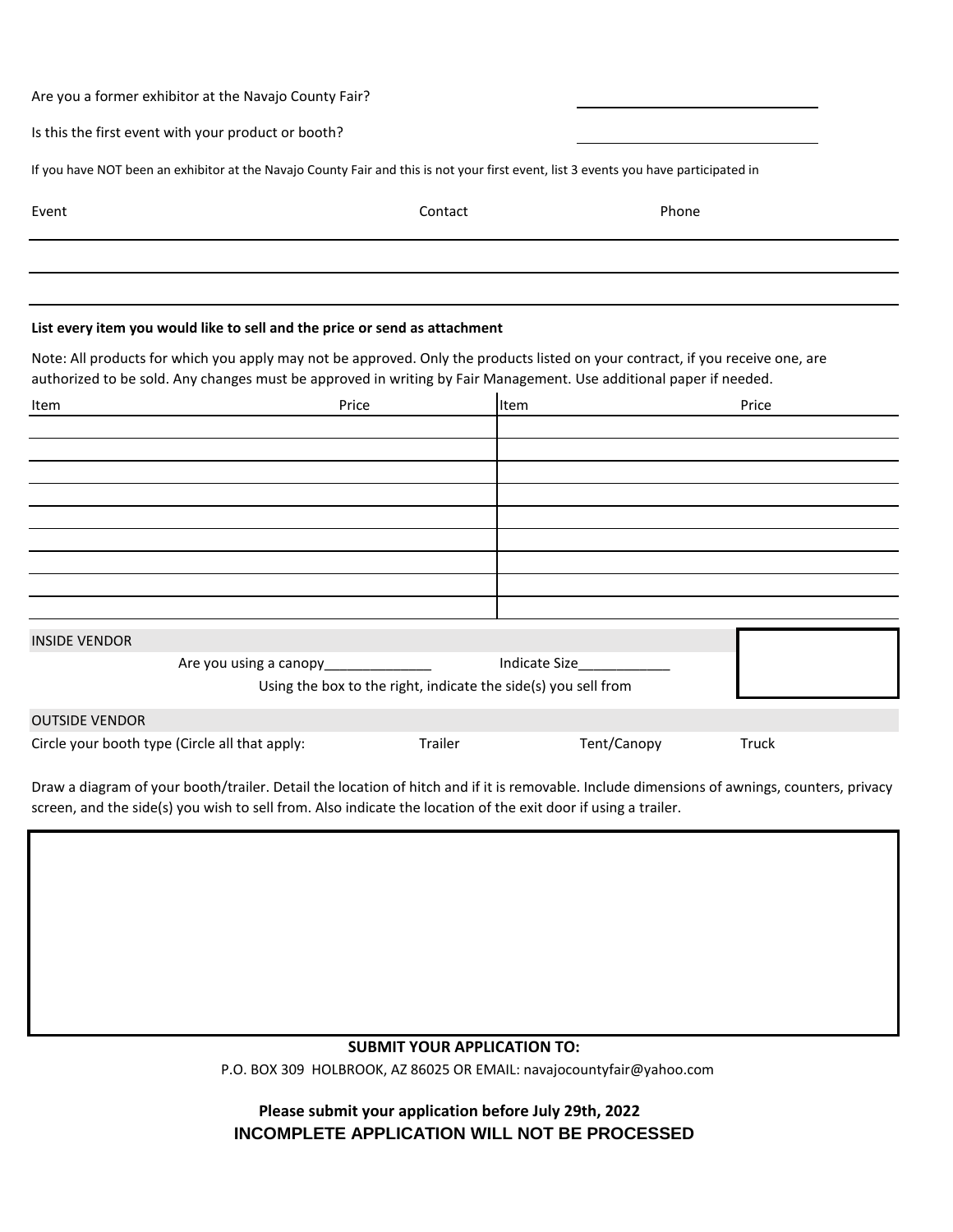| Are you a former exhibitor at the Navajo County Fair?                                                                                |         |       |  |
|--------------------------------------------------------------------------------------------------------------------------------------|---------|-------|--|
| Is this the first event with your product or booth?                                                                                  |         |       |  |
| If you have NOT been an exhibitor at the Navajo County Fair and this is not your first event, list 3 events you have participated in |         |       |  |
| Event                                                                                                                                | Contact | Phone |  |
|                                                                                                                                      |         |       |  |
|                                                                                                                                      |         |       |  |
| List every item you would like to sell and the price or send as attachment                                                           |         |       |  |

Note: All products for which you apply may not be approved. Only the products listed on your contract, if you receive one, are authorized to be sold. Any changes must be approved in writing by Fair Management. Use additional paper if needed.

| Item                                           | Price                                 |         | Item                                                           | Price |
|------------------------------------------------|---------------------------------------|---------|----------------------------------------------------------------|-------|
|                                                |                                       |         |                                                                |       |
|                                                |                                       |         |                                                                |       |
|                                                |                                       |         |                                                                |       |
|                                                |                                       |         |                                                                |       |
|                                                |                                       |         |                                                                |       |
|                                                |                                       |         |                                                                |       |
|                                                |                                       |         |                                                                |       |
|                                                |                                       |         |                                                                |       |
|                                                |                                       |         |                                                                |       |
| <b>INSIDE VENDOR</b>                           |                                       |         |                                                                |       |
|                                                | Are you using a canopy_______________ |         | Indicate Size <b>Sandware Size</b>                             |       |
|                                                |                                       |         | Using the box to the right, indicate the side(s) you sell from |       |
| <b>OUTSIDE VENDOR</b>                          |                                       |         |                                                                |       |
| Circle your booth type (Circle all that apply: |                                       | Trailer | Tent/Canopy                                                    | Truck |

Draw a diagram of your booth/trailer. Detail the location of hitch and if it is removable. Include dimensions of awnings, counters, privacy screen, and the side(s) you wish to sell from. Also indicate the location of the exit door if using a trailer.

## **SUBMIT YOUR APPLICATION TO:**

P.O. BOX 309 HOLBROOK, AZ 86025 OR EMAIL: navajocountyfair@yahoo.com

**Please submit your application before July 29th, 2022 INCOMPLETE APPLICATION WILL NOT BE PROCESSED**